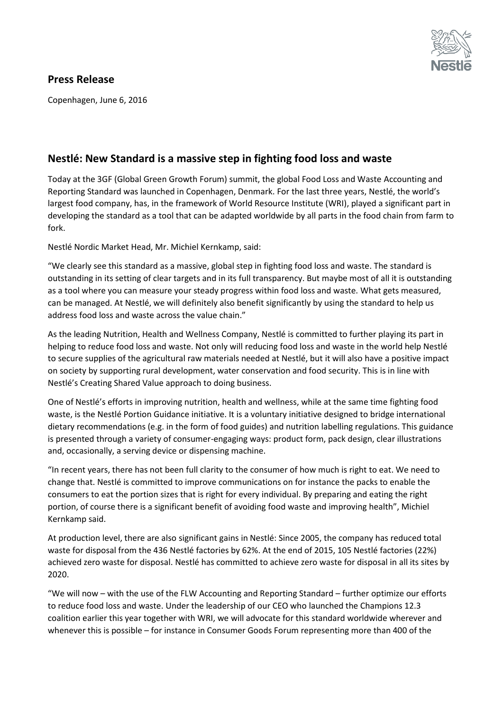

## **Press Release**

Copenhagen, June 6, 2016

## **Nestlé: New Standard is a massive step in fighting food loss and waste**

Today at the 3GF (Global Green Growth Forum) summit, the global Food Loss and Waste Accounting and Reporting Standard was launched in Copenhagen, Denmark. For the last three years, Nestlé, the world's largest food company, has, in the framework of World Resource Institute (WRI), played a significant part in developing the standard as a tool that can be adapted worldwide by all parts in the food chain from farm to fork.

Nestlé Nordic Market Head, Mr. Michiel Kernkamp, said:

"We clearly see this standard as a massive, global step in fighting food loss and waste. The standard is outstanding in its setting of clear targets and in its full transparency. But maybe most of all it is outstanding as a tool where you can measure your steady progress within food loss and waste. What gets measured, can be managed. At Nestlé, we will definitely also benefit significantly by using the standard to help us address food loss and waste across the value chain."

As the leading Nutrition, Health and Wellness Company, Nestlé is committed to further playing its part in helping to reduce food loss and waste. Not only will reducing food loss and waste in the world help Nestlé to secure supplies of the agricultural raw materials needed at Nestlé, but it will also have a positive impact on society by supporting rural development, water conservation and food security. This is in line with Nestlé's Creating Shared Value approach to doing business.

One of Nestlé's efforts in improving nutrition, health and wellness, while at the same time fighting food waste, is the Nestlé Portion Guidance initiative. It is a voluntary initiative designed to bridge international dietary recommendations (e.g. in the form of food guides) and nutrition labelling regulations. This guidance is presented through a variety of consumer-engaging ways: product form, pack design, clear illustrations and, occasionally, a serving device or dispensing machine.

"In recent years, there has not been full clarity to the consumer of how much is right to eat. We need to change that. Nestlé is committed to improve communications on for instance the packs to enable the consumers to eat the portion sizes that is right for every individual. By preparing and eating the right portion, of course there is a significant benefit of avoiding food waste and improving health", Michiel Kernkamp said.

At production level, there are also significant gains in Nestlé: Since 2005, the company has reduced total waste for disposal from the 436 Nestlé factories by 62%. At the end of 2015, 105 Nestlé factories (22%) achieved zero waste for disposal. Nestlé has committed to achieve zero waste for disposal in all its sites by 2020.

"We will now – with the use of the FLW Accounting and Reporting Standard – further optimize our efforts to reduce food loss and waste. Under the leadership of our CEO who launched the Champions 12.3 coalition earlier this year together with WRI, we will advocate for this standard worldwide wherever and whenever this is possible – for instance in Consumer Goods Forum representing more than 400 of the